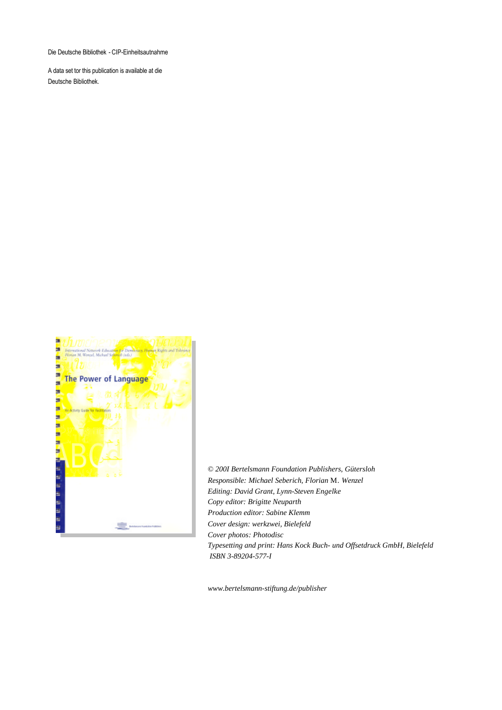Die Deutsche Bibliothek - CIP-Einheitsautnahme

A data set tor this publication is available at die Deutsche Bibliothek.



© *200I Bertelsmann Foundation Publishers, Gütersloh Responsible: Michael Seberich, Florian* M. *Wenzel Editing: David Grant, Lynn-Steven Engelke Copy editor: Brigitte Neuparth Production editor: Sabine Klemm Cover design: werkzwei, Bielefeld Cover photos: Photodisc Typesetting and print: Hans Kock Buch- und Offsetdruck GmbH, Bielefeld ISBN 3-89204-577-I*

*www.bertelsmann-stiftung.de/publisher*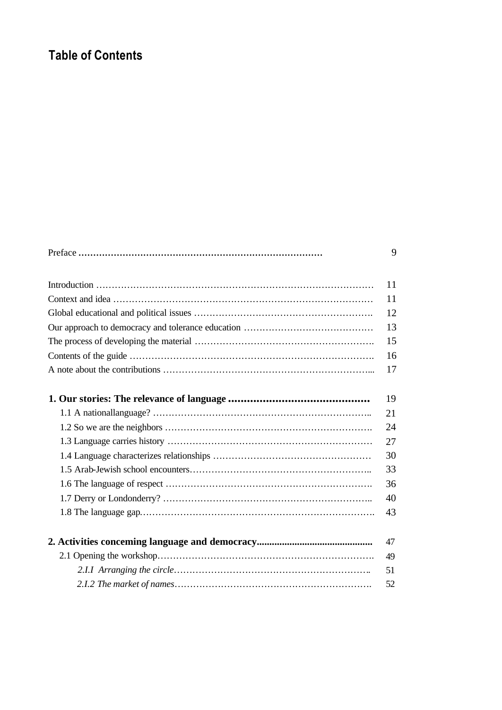# **Table of Contents**

|    | 11 |  |
|----|----|--|
|    |    |  |
|    |    |  |
|    |    |  |
| 13 |    |  |
| 15 |    |  |
| 16 |    |  |
|    | 17 |  |
|    |    |  |
|    | 19 |  |
|    | 21 |  |
|    | 24 |  |
|    | 27 |  |
|    | 30 |  |
| 33 |    |  |
| 36 |    |  |
| 40 |    |  |
|    | 43 |  |
|    |    |  |
|    | 47 |  |
|    | 49 |  |
|    | 51 |  |
|    | 52 |  |
|    |    |  |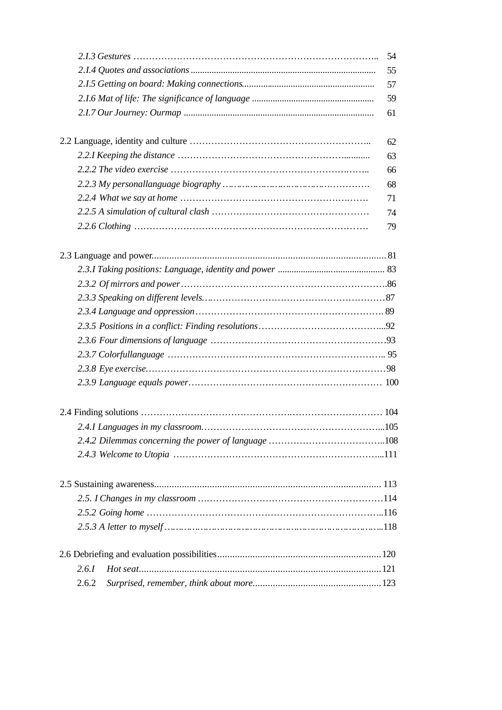|       | 54 |
|-------|----|
|       | 55 |
|       | 57 |
|       | 59 |
|       | 61 |
|       |    |
|       | 62 |
|       | 63 |
|       | 66 |
|       | 68 |
|       | 71 |
|       | 74 |
|       | 79 |
|       |    |
|       |    |
|       |    |
|       |    |
|       |    |
|       |    |
|       |    |
|       |    |
|       |    |
|       |    |
|       |    |
|       |    |
|       |    |
|       |    |
|       |    |
|       |    |
|       |    |
|       |    |
|       |    |
|       |    |
|       |    |
|       |    |
|       |    |
| 2.6.1 |    |
| 2.6.2 |    |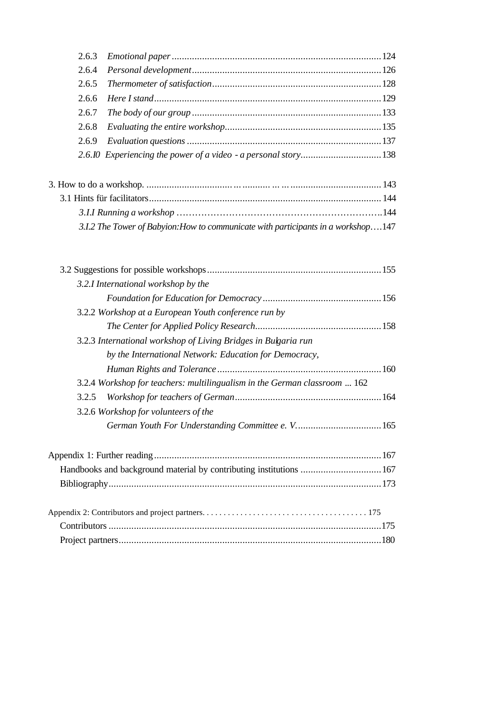| 2.6.3 |                                                                                   |  |
|-------|-----------------------------------------------------------------------------------|--|
| 2.6.4 |                                                                                   |  |
| 2.6.5 |                                                                                   |  |
| 2.6.6 |                                                                                   |  |
| 2.6.7 |                                                                                   |  |
| 2.6.8 |                                                                                   |  |
| 2.6.9 |                                                                                   |  |
|       |                                                                                   |  |
|       |                                                                                   |  |
|       |                                                                                   |  |
|       |                                                                                   |  |
|       | 3.1.2 The Tower of Babyion: How to communicate with participants in a workshop147 |  |
|       |                                                                                   |  |
|       | 3.2.I International workshop by the                                               |  |
|       |                                                                                   |  |
|       | 3.2.2 Workshop at a European Youth conference run by                              |  |
|       |                                                                                   |  |
|       | 3.2.3 International workshop of Living Bridges in Bulgaria run                    |  |
|       | by the International Network: Education for Democracy,                            |  |
|       |                                                                                   |  |
|       | 3.2.4 Workshop for teachers: multilingualism in the German classroom  162         |  |
| 3.2.5 |                                                                                   |  |
|       | 3.2.6 Workshop for volunteers of the                                              |  |
|       |                                                                                   |  |
|       |                                                                                   |  |
|       | Handbooks and background material by contributing institutions  167               |  |
|       |                                                                                   |  |
|       |                                                                                   |  |
|       |                                                                                   |  |
|       |                                                                                   |  |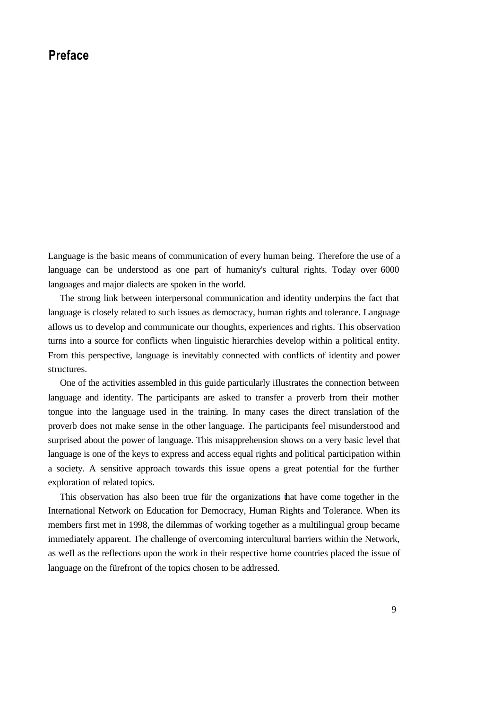## **Preface**

Language is the basic means of communication of every human being. Therefore the use of a language can be understood as one part of humanity's cultural rights. Today over 6000 languages and major dialects are spoken in the world.

The strong link between interpersonal communication and identity underpins the fact that language is closely related to such issues as democracy, human rights and tolerance. Language aIlows us to develop and communicate our thoughts, experiences and rights. This observation turns into a source for conflicts when linguistic hierarchies develop within a political entity. From this perspective, language is inevitably connected with conflicts of identity and power structures.

One of the activities assembled in this guide particularly iIlustrates the connection between language and identity. The participants are asked to transfer a proverb from their mother tongue into the language used in the training. In many cases the direct translation of the proverb does not make sense in the other language. The participants feel misunderstood and surprised about the power of language. This misapprehension shows on a very basic level that language is one of the keys to express and access equal rights and political participation within a society. A sensitive approach towards this issue opens a great potential for the further exploration of related topics.

This observation has also been true für the organizations that have come together in the International Network on Education for Democracy, Human Rights and Tolerance. When its members first met in 1998, the dilemmas of working together as a multilingual group became immediately apparent. The challenge of overcoming intercultural barriers within the Network, as weIl as the reflections upon the work in their respective horne countries placed the issue of language on the fürefront of the topics chosen to be addressed.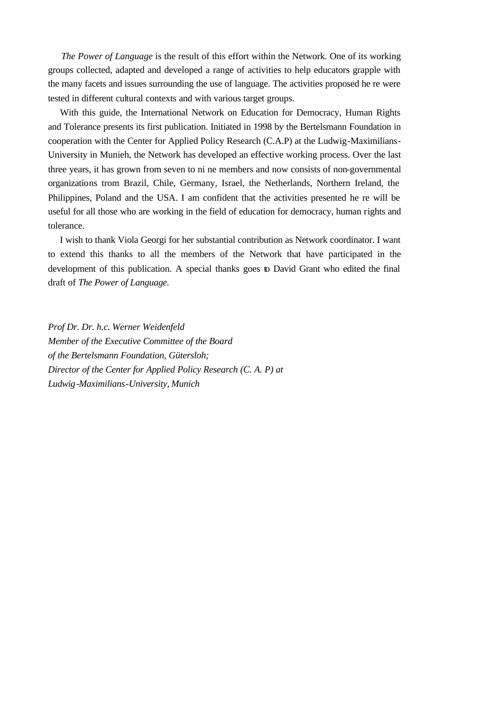*The Power of Language* is the result of this effort within the Network. One of its working groups collected, adapted and developed a range of activities to help educators grapple with the many facets and issues surrounding the use of language. The activities proposed he re were tested in different cultural contexts and with various target groups.

With this guide, the International Network on Education for Democracy, Human Rights and Tolerance presents its first publication. Initiated in 1998 by the Bertelsmann Foundation in cooperation with the Center for Applied Policy Research (C.A.P) at the Ludwig-Maximilians-University in Munieh, the Network has developed an effective working process. Over the last three years, it has grown from seven to ni ne members and now consists of non-governmental organizations trom Brazil, Chile, Germany, Israel, the Netherlands, Northern Ireland, the Philippines, Poland and the USA. I am confident that the activities presented he re will be useful for all those who are working in the field of education for democracy, human rights and tolerance.

I wish to thank Viola Georgi for her substantial contribution as Network coordinator. I want to extend this thanks to all the members of the Network that have participated in the development of this publication. A special thanks goes to David Grant who edited the final draft of *The Power of Language.*

*Prof Dr. Dr. h.c. Werner Weidenfeld Member of the Executive Committee of the Board of the Bertelsmann Foundation, Gütersloh; Director of the Center for Applied Policy Research (C. A. P) at Ludwig-Maximilians-University, Munich*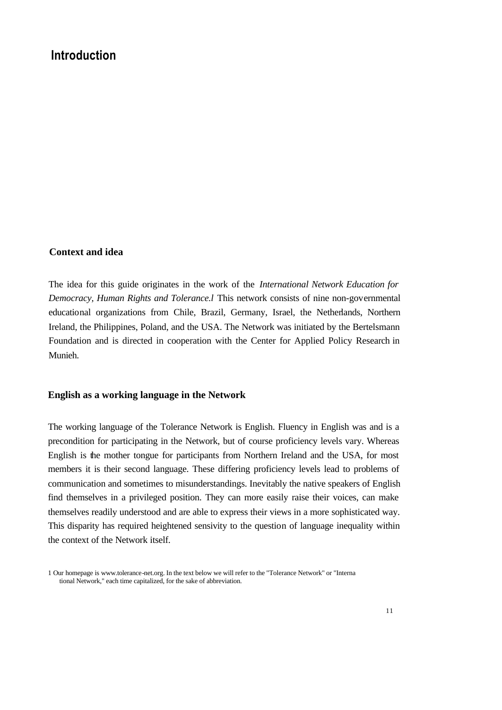## **Introduction**

#### **Context and idea**

The idea for this guide originates in the work of the *International Network Education for Democracy, Human Rights and Tolerance.l* This network consists of nine non-governmental educational organizations from Chile, Brazil, Germany, Israel, the Netherlands, Northern Ireland, the Philippines, Poland, and the USA. The Network was initiated by the Bertelsmann Foundation and is directed in cooperation with the Center for Applied Policy Research in Munieh.

#### **English as a working language in the Network**

The working language of the Tolerance Network is English. Fluency in English was and is a precondition for participating in the Network, but of course proficiency levels vary. Whereas English is the mother tongue for participants from Northern Ireland and the USA, for most members it is their second language. These differing proficiency levels lead to problems of communication and sometimes to misunderstandings. Inevitably the native speakers of English find themselves in a privileged position. They can more easily raise their voices, can make themselves readily understood and are able to express their views in a more sophisticated way. This disparity has required heightened sensivity to the question of language inequality within the context of the Network itself.

<sup>1</sup> Our homepage is www.tolerance-net.org. In the text below we will refer to the "Tolerance Network" or "Interna tional Network," each time capitalized, for the sake of abbreviation.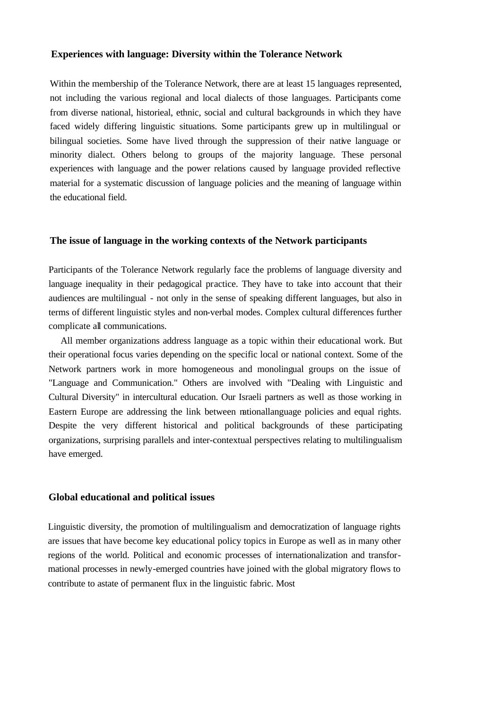#### **Experiences with language: Diversity within the Tolerance Network**

Within the membership of the Tolerance Network, there are at least 15 languages represented, not including the various regional and local dialects of those languages. Participants come from diverse national, historieal, ethnic, social and cultural backgrounds in which they have faced widely differing linguistic situations. Some participants grew up in multilingual or bilingual societies. Some have lived through the suppression of their native language or minority dialect. Others belong to groups of the majority language. These personal experiences with language and the power relations caused by language provided reflective material for a systematic discussion of language policies and the meaning of language within the educational field.

#### **The issue of language in the working contexts of the Network participants**

Participants of the Tolerance Network regularly face the problems of language diversity and language inequality in their pedagogical practice. They have to take into account that their audiences are multilingual - not only in the sense of speaking different languages, but also in terms of different linguistic styles and non-verbal modes. Complex cultural differences further complicate all communications.

All member organizations address language as a topic within their educational work. But their operational focus varies depending on the specific local or national context. Some of the Network partners work in more homogeneous and monolingual groups on the issue of "Language and Communication." Others are involved with "Dealing with Linguistic and Cultural Diversity" in intercultural education. Our Israeli partners as weIl as those working in Eastern Europe are addressing the link between nationallanguage policies and equal rights. Despite the very different historical and political backgrounds of these participating organizations, surprising parallels and inter-contextual perspectives relating to multilingualism have emerged.

#### **Global educational and political issues**

Linguistic diversity, the promotion of multilingualism and democratization of language rights are issues that have become key educational policy topics in Europe as weIl as in many other regions of the world. Political and economic processes of internationalization and transformational processes in newly-emerged countries have joined with the global migratory flows to contribute to astate of permanent flux in the linguistic fabric. Most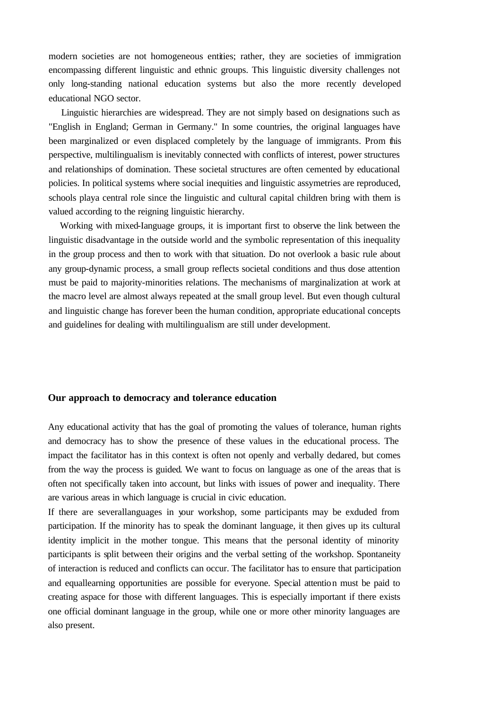modern societies are not homogeneous entities; rather, they are societies of immigration encompassing different linguistic and ethnic groups. This linguistic diversity challenges not only long-standing national education systems but also the more recently developed educational NGO sector.

Linguistic hierarchies are widespread. They are not simply based on designations such as "English in England; German in Germany." In some countries, the original languages have been marginalized or even displaced completely by the language of immigrants. Prom this perspective, multilingualism is inevitably connected with conflicts of interest, power structures and relationships of domination. These societal structures are often cemented by educational policies. In political systems where social inequities and linguistic assymetries are reproduced, schools playa central role since the linguistic and cultural capital children bring with them is valued according to the reigning linguistic hierarchy.

Working with mixed-Ianguage groups, it is important first to observe the link between the linguistic disadvantage in the outside world and the symbolic representation of this inequality in the group process and then to work with that situation. Do not overlook a basic rule about any group-dynamic process, a small group reflects societal conditions and thus dose attention must be paid to majority-minorities relations. The mechanisms of marginalization at work at the macro level are almost always repeated at the small group level. But even though cultural and linguistic change has forever been the human condition, appropriate educational concepts and guidelines for dealing with multilingualism are still under development.

#### **Our approach to democracy and tolerance education**

Any educational activity that has the goal of promoting the values of tolerance, human rights and democracy has to show the presence of these values in the educational process. The impact the facilitator has in this context is often not openly and verbally dedared, but comes from the way the process is guided. We want to focus on language as one of the areas that is often not specifically taken into account, but links with issues of power and inequality. There are various areas in which language is crucial in civic education.

If there are severallanguages in your workshop, some participants may be exduded from participation. If the minority has to speak the dominant language, it then gives up its cultural identity implicit in the mother tongue. This means that the personal identity of minority participants is split between their origins and the verbal setting of the workshop. Spontaneity of interaction is reduced and conflicts can occur. The facilitator has to ensure that participation and equallearning opportunities are possible for everyone. Special attention must be paid to creating aspace for those with different languages. This is especially important if there exists one official dominant language in the group, while one or more other minority languages are also present.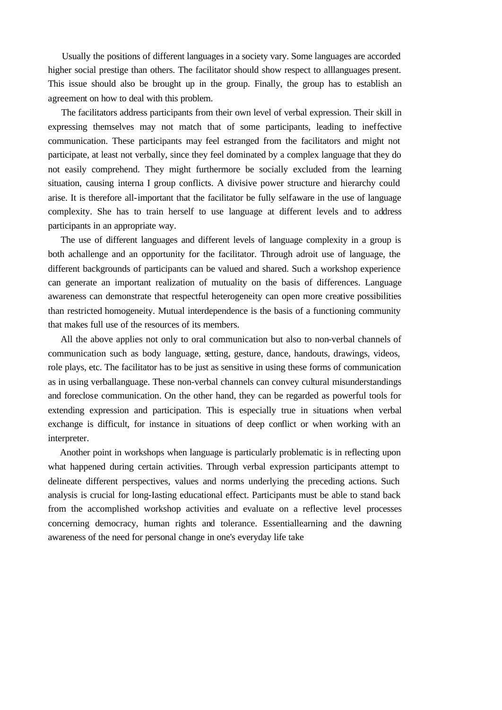Usually the positions of different languages in a society vary. Some languages are accorded higher social prestige than others. The facilitator should show respect to alllanguages present. This issue should also be brought up in the group. Finally, the group has to establish an agreement on how to deal with this problem.

The facilitators address participants from their own level of verbal expression. Their skill in expressing themselves may not match that of some participants, leading to ineffective communication. These participants may feel estranged from the facilitators and might not participate, at least not verbally, since they feel dominated by a complex language that they do not easily comprehend. They might furthermore be socially excluded from the learning situation, causing interna I group conflicts. A divisive power structure and hierarchy could arise. It is therefore all-important that the facilitator be fully selfaware in the use of language complexity. She has to train herself to use language at different levels and to address participants in an appropriate way.

The use of different languages and different levels of language complexity in a group is both achallenge and an opportunity for the facilitator. Through adroit use of language, the different backgrounds of participants can be valued and shared. Such a workshop experience can generate an important realization of mutuality on the basis of differences. Language awareness can demonstrate that respectful heterogeneity can open more creative possibilities than restricted homogeneity. Mutual interdependence is the basis of a functioning community that makes full use of the resources of its members.

All the above applies not only to oral communication but also to non-verbal channels of communication such as body language, setting, gesture, dance, handouts, drawings, videos, role plays, etc. The facilitator has to be just as sensitive in using these forms of communication as in using verballanguage. These non-verbal channels can convey cultural misunderstandings and foreclose communication. On the other hand, they can be regarded as powerful tools for extending expression and participation. This is especially true in situations when verbal exchange is difficult, for instance in situations of deep conflict or when working with an interpreter.

Another point in workshops when language is particularly problematic is in reflecting upon what happened during certain activities. Through verbal expression participants attempt to delineate different perspectives, values and norms underlying the preceding actions. Such analysis is crucial for long-Iasting educational effect. Participants must be able to stand back from the accomplished workshop activities and evaluate on a reflective level processes concerning democracy, human rights and tolerance. Essentiallearning and the dawning awareness of the need for personal change in one's everyday life take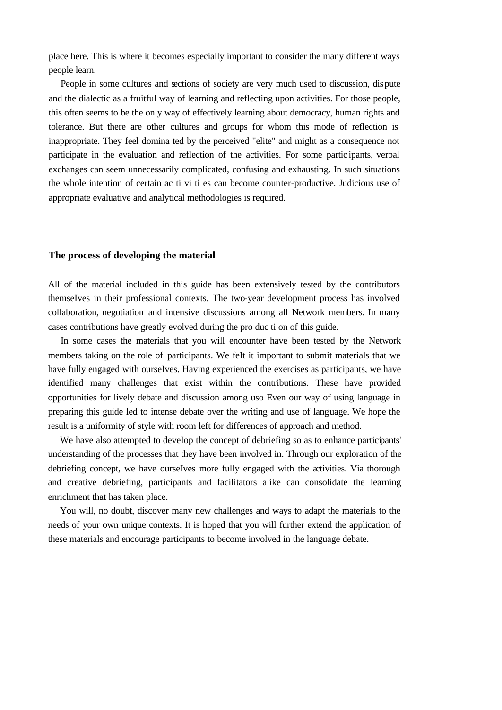place here. This is where it becomes especially important to consider the many different ways people learn.

People in some cultures and sections of society are very much used to discussion, dispute and the dialectic as a fruitful way of learning and reflecting upon activities. For those people, this often seems to be the only way of effectively learning about democracy, human rights and tolerance. But there are other cultures and groups for whom this mode of reflection is inappropriate. They feel domina ted by the perceived "elite" and might as a consequence not participate in the evaluation and reflection of the activities. For some partic ipants, verbal exchanges can seem unnecessarily complicated, confusing and exhausting. In such situations the whole intention of certain ac ti vi ti es can become counter-productive. Judicious use of appropriate evaluative and analytical methodologies is required.

#### **The process of developing the material**

All of the material included in this guide has been extensively tested by the contributors themseIves in their professional contexts. The two-year deveIopment process has involved collaboration, negotiation and intensive discussions among all Network members. In many cases contributions have greatly evolved during the pro duc ti on of this guide.

In some cases the materials that you will encounter have been tested by the Network members taking on the role of participants. We feIt it important to submit materials that we have fully engaged with ourseIves. Having experienced the exercises as participants, we have identified many challenges that exist within the contributions. These have provided opportunities for lively debate and discussion among uso Even our way of using language in preparing this guide led to intense debate over the writing and use of language. We hope the result is a uniformity of style with room left for differences of approach and method.

We have also attempted to deveIop the concept of debriefing so as to enhance participants' understanding of the processes that they have been involved in. Through our exploration of the debriefing concept, we have ourseIves more fully engaged with the activities. Via thorough and creative debriefing, participants and facilitators alike can consolidate the learning enrichment that has taken place.

You will, no doubt, discover many new challenges and ways to adapt the materials to the needs of your own unique contexts. It is hoped that you will further extend the application of these materials and encourage participants to become involved in the language debate.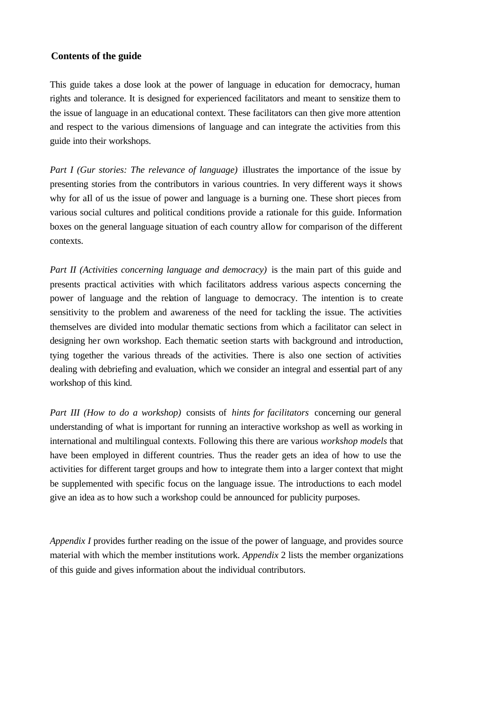### **Contents of the guide**

This guide takes a dose look at the power of language in education for democracy, human rights and tolerance. It is designed for experienced facilitators and meant to sensitize them to the issue of language in an educational context. These facilitators can then give more attention and respect to the various dimensions of language and can integrate the activities from this guide into their workshops.

*Part I (Gur stories: The relevance of language)* iIlustrates the importance of the issue by presenting stories from the contributors in various countries. In very different ways it shows why for aIl of us the issue of power and language is a burning one. These short pieces from various social cultures and political conditions provide a rationale for this guide. Information boxes on the general language situation of each country aIlow for comparison of the different contexts.

*Part II (Activities concerning language and democracy)* is the main part of this guide and presents practical activities with which facilitators address various aspects concerning the power of language and the relation of language to democracy. The intention is to create sensitivity to the problem and awareness of the need for tackling the issue. The activities themselves are divided into modular thematic sections from which a facilitator can select in designing her own workshop. Each thematic seetion starts with background and introduction, tying together the various threads of the activities. There is also one section of activities dealing with debriefing and evaluation, which we consider an integral and essential part of any workshop of this kind.

*Part III (How to do a workshop)* consists of *hints for facilitators* concerning our general understanding of what is important for running an interactive workshop as weIl as working in international and multilingual contexts. Following this there are various *workshop models* that have been employed in different countries. Thus the reader gets an idea of how to use the activities for different target groups and how to integrate them into a larger context that might be supplemented with specific focus on the language issue. The introductions to each model give an idea as to how such a workshop could be announced for publicity purposes.

*Appendix I* provides further reading on the issue of the power of language, and provides source material with which the member institutions work. *Appendix* 2 lists the member organizations of this guide and gives information about the individual contributors.